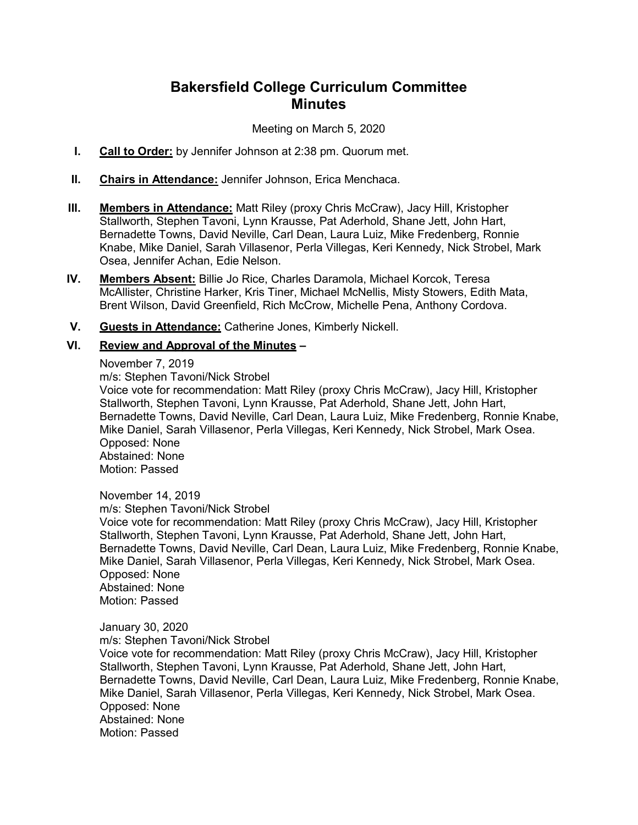# **Bakersfield College Curriculum Committee Minutes**

Meeting on March 5, 2020

- **I. Call to Order:** by Jennifer Johnson at 2:38 pm. Quorum met.
- **II. Chairs in Attendance:** Jennifer Johnson, Erica Menchaca.
- **III. Members in Attendance:** Matt Riley (proxy Chris McCraw), Jacy Hill, Kristopher Stallworth, Stephen Tavoni, Lynn Krausse, Pat Aderhold, Shane Jett, John Hart, Bernadette Towns, David Neville, Carl Dean, Laura Luiz, Mike Fredenberg, Ronnie Knabe, Mike Daniel, Sarah Villasenor, Perla Villegas, Keri Kennedy, Nick Strobel, Mark Osea, Jennifer Achan, Edie Nelson.
- **IV. Members Absent:** Billie Jo Rice, Charles Daramola, Michael Korcok, Teresa McAllister, Christine Harker, Kris Tiner, Michael McNellis, Misty Stowers, Edith Mata, Brent Wilson, David Greenfield, Rich McCrow, Michelle Pena, Anthony Cordova.
- **V. Guests in Attendance:** Catherine Jones, Kimberly Nickell.

## **VI. Review and Approval of the Minutes –**

#### November 7, 2019

m/s: Stephen Tavoni/Nick Strobel

Voice vote for recommendation: Matt Riley (proxy Chris McCraw), Jacy Hill, Kristopher Stallworth, Stephen Tavoni, Lynn Krausse, Pat Aderhold, Shane Jett, John Hart, Bernadette Towns, David Neville, Carl Dean, Laura Luiz, Mike Fredenberg, Ronnie Knabe, Mike Daniel, Sarah Villasenor, Perla Villegas, Keri Kennedy, Nick Strobel, Mark Osea. Opposed: None Abstained: None Motion: Passed

### November 14, 2019

m/s: Stephen Tavoni/Nick Strobel

Voice vote for recommendation: Matt Riley (proxy Chris McCraw), Jacy Hill, Kristopher Stallworth, Stephen Tavoni, Lynn Krausse, Pat Aderhold, Shane Jett, John Hart, Bernadette Towns, David Neville, Carl Dean, Laura Luiz, Mike Fredenberg, Ronnie Knabe, Mike Daniel, Sarah Villasenor, Perla Villegas, Keri Kennedy, Nick Strobel, Mark Osea. Opposed: None Abstained: None Motion: Passed

### January 30, 2020

m/s: Stephen Tavoni/Nick Strobel

Voice vote for recommendation: Matt Riley (proxy Chris McCraw), Jacy Hill, Kristopher Stallworth, Stephen Tavoni, Lynn Krausse, Pat Aderhold, Shane Jett, John Hart, Bernadette Towns, David Neville, Carl Dean, Laura Luiz, Mike Fredenberg, Ronnie Knabe, Mike Daniel, Sarah Villasenor, Perla Villegas, Keri Kennedy, Nick Strobel, Mark Osea. Opposed: None Abstained: None Motion: Passed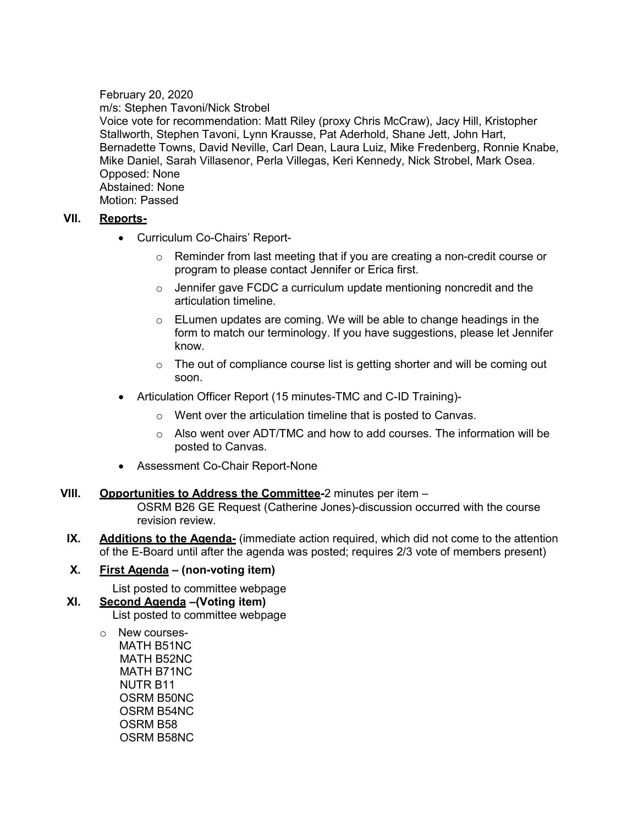February 20, 2020 m/s: Stephen Tavoni/Nick Strobel Voice vote for recommendation: Matt Riley (proxy Chris McCraw), Jacy Hill, Kristopher Stallworth, Stephen Tavoni, Lynn Krausse, Pat Aderhold, Shane Jett, John Hart, Bernadette Towns, David Neville, Carl Dean, Laura Luiz, Mike Fredenberg, Ronnie Knabe, Mike Daniel, Sarah Villasenor, Perla Villegas, Keri Kennedy, Nick Strobel, Mark Osea. Opposed: None Abstained: None Motion: Passed

# **VII. Reports-**

- Curriculum Co-Chairs' Report-
	- $\circ$  Reminder from last meeting that if you are creating a non-credit course or program to please contact Jennifer or Erica first.
	- $\circ$  Jennifer gave FCDC a curriculum update mentioning noncredit and the articulation timeline.
	- $\circ$  ELumen updates are coming. We will be able to change headings in the form to match our terminology. If you have suggestions, please let Jennifer know.
	- $\circ$  The out of compliance course list is getting shorter and will be coming out soon.
- Articulation Officer Report (15 minutes-TMC and C-ID Training)
	- o Went over the articulation timeline that is posted to Canvas.
	- o Also went over ADT/TMC and how to add courses. The information will be posted to Canvas.
- Assessment Co-Chair Report-None
- **VIII. Opportunities to Address the Committee-**2 minutes per item OSRM B26 GE Request (Catherine Jones)-discussion occurred with the course revision review.
- **IX.** Additions to the Agenda- (immediate action required, which did not come to the attention of the E-Board until after the agenda was posted; requires 2/3 vote of members present)

# **X. First Agenda – (non-voting item)**

List posted to committee webpage

- **XI. Second Agenda –(Voting item)** List posted to committee webpage
	- o New courses- MATH B51NC MATH B52NC MATH B71NC NUTR B11 OSRM B50NC OSRM B54NC OSRM B58 OSRM B58NC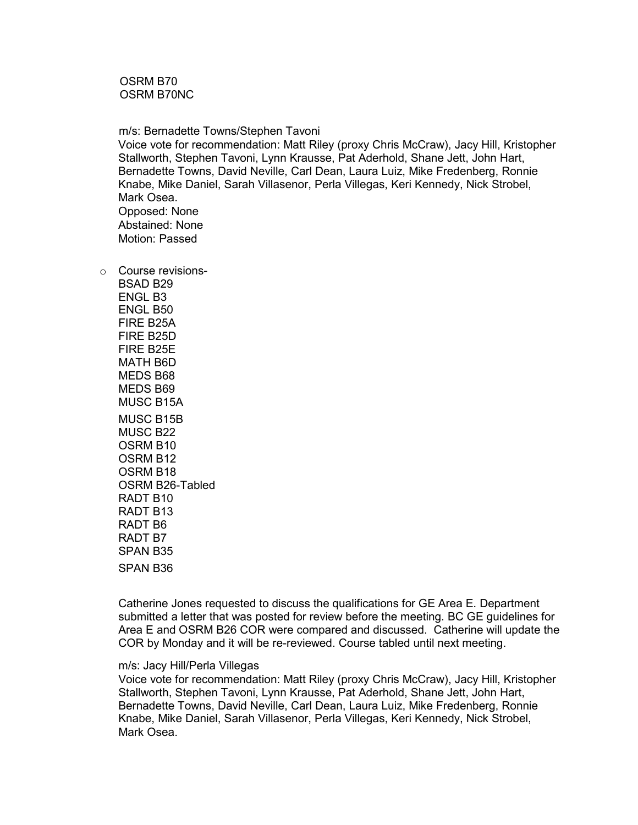OSRM B70 OSRM B70NC

 m/s: Bernadette Towns/Stephen Tavoni Voice vote for recommendation: Matt Riley (proxy Chris McCraw), Jacy Hill, Kristopher Stallworth, Stephen Tavoni, Lynn Krausse, Pat Aderhold, Shane Jett, John Hart, Bernadette Towns, David Neville, Carl Dean, Laura Luiz, Mike Fredenberg, Ronnie Knabe, Mike Daniel, Sarah Villasenor, Perla Villegas, Keri Kennedy, Nick Strobel, Mark Osea. Opposed: None Abstained: None Motion: Passed

o Course revisions-BSAD B29 ENGL B3 ENGL B50 FIRE B25A FIRE B25D FIRE B25E MATH B6D MEDS B68 MEDS B69 MUSC B15A MUSC B15B MUSC B22 OSRM B10 OSRM B12 OSRM B18 OSRM B26-Tabled RADT B10 RADT B13 RADT B6 RADT B7 SPAN B35 SPAN B36

> Catherine Jones requested to discuss the qualifications for GE Area E. Department submitted a letter that was posted for review before the meeting. BC GE guidelines for Area E and OSRM B26 COR were compared and discussed. Catherine will update the COR by Monday and it will be re-reviewed. Course tabled until next meeting.

#### m/s: Jacy Hill/Perla Villegas

Voice vote for recommendation: Matt Riley (proxy Chris McCraw), Jacy Hill, Kristopher Stallworth, Stephen Tavoni, Lynn Krausse, Pat Aderhold, Shane Jett, John Hart, Bernadette Towns, David Neville, Carl Dean, Laura Luiz, Mike Fredenberg, Ronnie Knabe, Mike Daniel, Sarah Villasenor, Perla Villegas, Keri Kennedy, Nick Strobel, Mark Osea.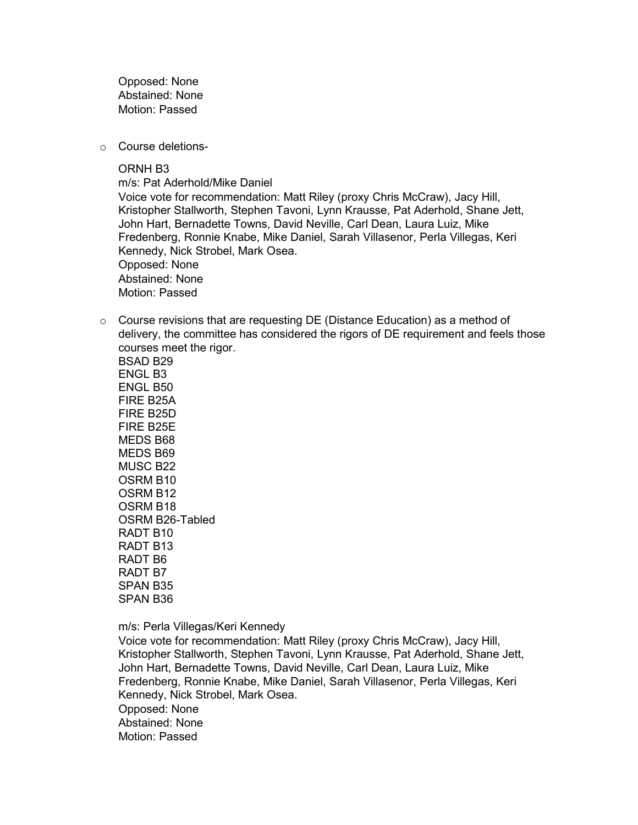Opposed: None Abstained: None Motion: Passed

o Course deletions-

ORNH B3

m/s: Pat Aderhold/Mike Daniel

Voice vote for recommendation: Matt Riley (proxy Chris McCraw), Jacy Hill, Kristopher Stallworth, Stephen Tavoni, Lynn Krausse, Pat Aderhold, Shane Jett, John Hart, Bernadette Towns, David Neville, Carl Dean, Laura Luiz, Mike Fredenberg, Ronnie Knabe, Mike Daniel, Sarah Villasenor, Perla Villegas, Keri Kennedy, Nick Strobel, Mark Osea. Opposed: None Abstained: None Motion: Passed

o Course revisions that are requesting DE (Distance Education) as a method of delivery, the committee has considered the rigors of DE requirement and feels those courses meet the rigor.

BSAD B29 ENGL B3 ENGL B50 FIRE B25A FIRE B25D FIRE B25E MEDS B68 MEDS B69 MUSC B22 OSRM B10 OSRM B12 OSRM B18 OSRM B26-Tabled RADT B10 RADT B13 RADT B6 RADT B7 SPAN B35 SPAN B36

m/s: Perla Villegas/Keri Kennedy

Voice vote for recommendation: Matt Riley (proxy Chris McCraw), Jacy Hill, Kristopher Stallworth, Stephen Tavoni, Lynn Krausse, Pat Aderhold, Shane Jett, John Hart, Bernadette Towns, David Neville, Carl Dean, Laura Luiz, Mike Fredenberg, Ronnie Knabe, Mike Daniel, Sarah Villasenor, Perla Villegas, Keri Kennedy, Nick Strobel, Mark Osea. Opposed: None Abstained: None Motion: Passed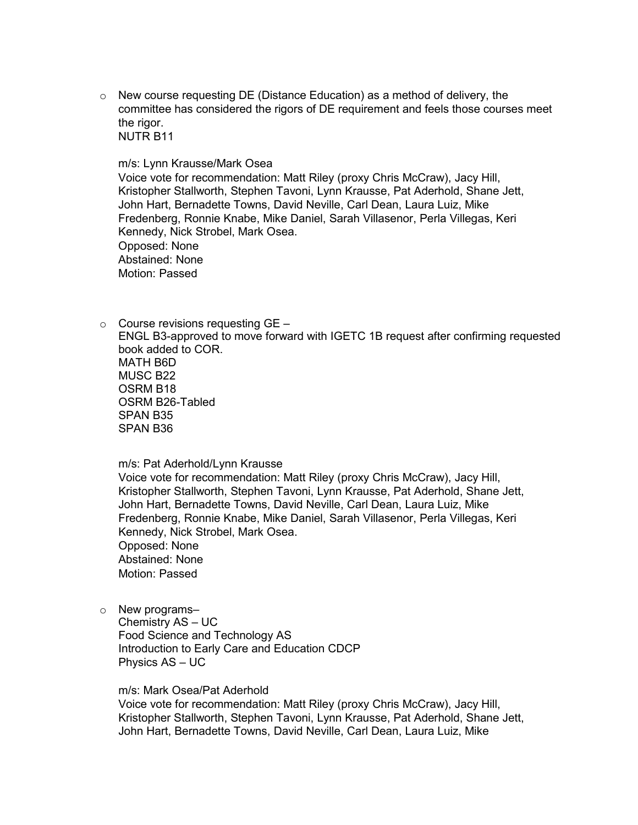$\circ$  New course requesting DE (Distance Education) as a method of delivery, the committee has considered the rigors of DE requirement and feels those courses meet the rigor. NUTR B11

m/s: Lynn Krausse/Mark Osea

Voice vote for recommendation: Matt Riley (proxy Chris McCraw), Jacy Hill, Kristopher Stallworth, Stephen Tavoni, Lynn Krausse, Pat Aderhold, Shane Jett, John Hart, Bernadette Towns, David Neville, Carl Dean, Laura Luiz, Mike Fredenberg, Ronnie Knabe, Mike Daniel, Sarah Villasenor, Perla Villegas, Keri Kennedy, Nick Strobel, Mark Osea. Opposed: None Abstained: None Motion: Passed

 $\circ$  Course revisions requesting GE – ENGL B3-approved to move forward with IGETC 1B request after confirming requested book added to COR. MATH B6D MUSC B22 OSRM B18 OSRM B26-Tabled SPAN B35 SPAN B36

m/s: Pat Aderhold/Lynn Krausse

Voice vote for recommendation: Matt Riley (proxy Chris McCraw), Jacy Hill, Kristopher Stallworth, Stephen Tavoni, Lynn Krausse, Pat Aderhold, Shane Jett, John Hart, Bernadette Towns, David Neville, Carl Dean, Laura Luiz, Mike Fredenberg, Ronnie Knabe, Mike Daniel, Sarah Villasenor, Perla Villegas, Keri Kennedy, Nick Strobel, Mark Osea. Opposed: None Abstained: None Motion: Passed

o New programs–

Chemistry AS – UC Food Science and Technology AS Introduction to Early Care and Education CDCP Physics AS – UC

m/s: Mark Osea/Pat Aderhold

Voice vote for recommendation: Matt Riley (proxy Chris McCraw), Jacy Hill, Kristopher Stallworth, Stephen Tavoni, Lynn Krausse, Pat Aderhold, Shane Jett, John Hart, Bernadette Towns, David Neville, Carl Dean, Laura Luiz, Mike